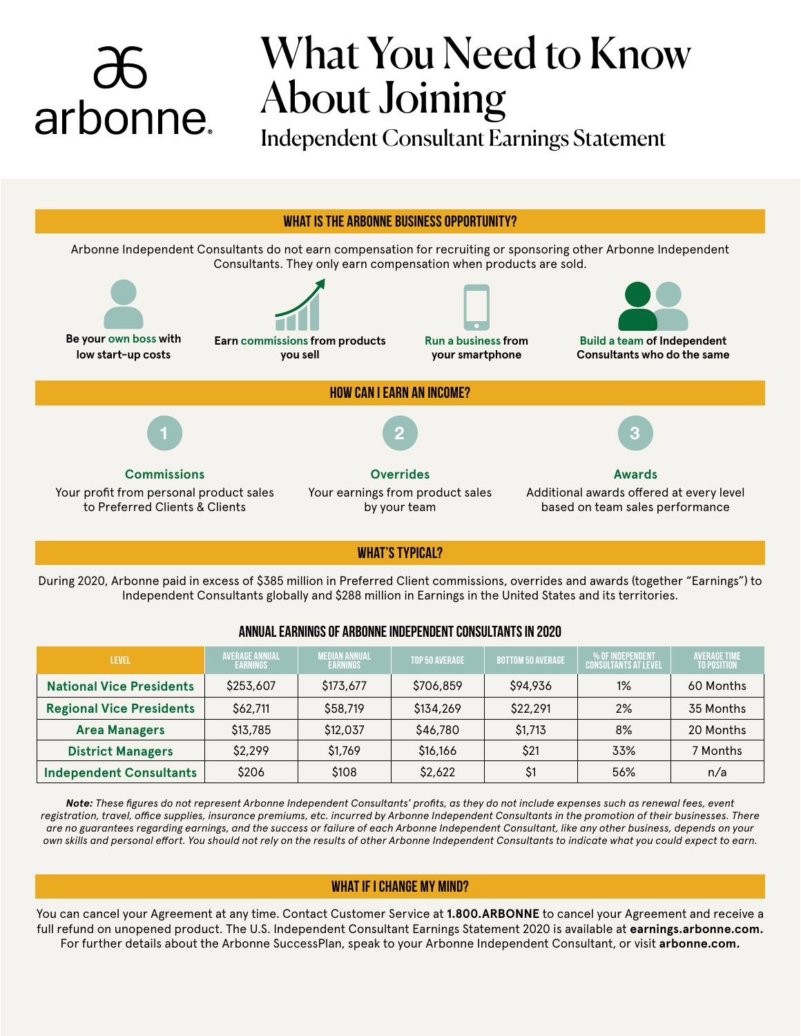# arbonne.

## What You Need to Know About Joining

Independent Consultant Earnings Statement



**WHAT'S TYPICAL?**

During 2020, Arbonne paid in excess of \$385 million in Preferred Client commissions, overrides and awards (together "Earnings") to Independent Consultants globally and \$288 million in Earnings in the United States and its territories.

### **ANNUAL EARNINGS OF ARBONNE INDEPENDENT CONSULTANTS IN 2020**

| <b>LEVEL</b>                    | <b>AVERAGE ANNUAL</b><br><b>EARNINGS</b> | <b>MEDIAN ANNUAL</b><br><b>EARNINGS</b> | <b>TOP 50 AVERAGE</b> | <b>BOTTOM 50 AVERAGE</b> | % OF INDEPENDENT<br><b>CONSULTANTS AT LEVEL</b> | <b>AVERAGE TIME</b><br><b>TO POSITION</b> |
|---------------------------------|------------------------------------------|-----------------------------------------|-----------------------|--------------------------|-------------------------------------------------|-------------------------------------------|
| <b>National Vice Presidents</b> | \$253,607                                | \$173,677                               | \$706,859             | \$94,936                 | 1%                                              | 60 Months                                 |
| <b>Regional Vice Presidents</b> | \$62,711                                 | \$58,719                                | \$134,269             | \$22,291                 | 2%                                              | 35 Months                                 |
| <b>Area Managers</b>            | \$13,785                                 | \$12,037                                | \$46,780              | \$1,713                  | 8%                                              | 20 Months                                 |
| <b>District Managers</b>        | \$2,299                                  | \$1,769                                 | \$16,166              | \$21                     | 33%                                             | 7 Months                                  |
| <b>Independent Consultants</b>  | \$206                                    | \$108                                   | \$2,622               | \$1                      | 56%                                             | n/a                                       |

*Note: These figures do not represent Arbonne Independent Consultants' profits, as they do not include expenses such as renewal fees, event registration, travel, office supplies, insurance premiums, etc. incurred by Arbonne Independent Consultants in the promotion of their businesses. There are no guarantees regarding earnings, and the success or failure of each Arbonne Independent Consultant, like any other business, depends on your own skills and personal effort. You should not rely on the results of other Arbonne Independent Consultants to indicate what you could expect to earn.*

### **WHAT IF I CHANGE MY MIND?**

You can cancel your Agreement at any time. Contact Customer Service at **1.800.ARBONNE** to cancel your Agreement and receive a full refund on unopened product. The U.S. Independent Consultant Earnings Statement 2020 is available at **earnings.arbonne.com.** For further details about the Arbonne SuccessPlan, speak to your Arbonne Independent Consultant, or visit **arbonne.com.**